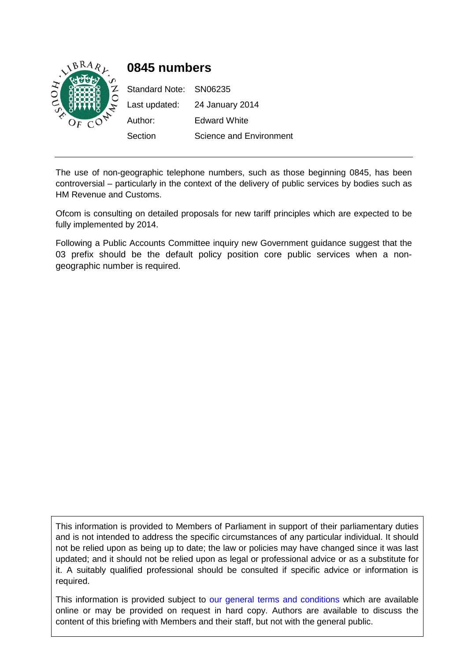

# **0845 numbers**

Standard Note: SN06235 Last updated: 24 January 2014 Author: Edward White Section Science and Environment

The use of non-geographic telephone numbers, such as those beginning 0845, has been controversial – particularly in the context of the delivery of public services by bodies such as HM Revenue and Customs.

Ofcom is consulting on detailed proposals for new tariff principles which are expected to be fully implemented by 2014.

Following a Public Accounts Committee inquiry new Government guidance suggest that the 03 prefix should be the default policy position core public services when a nongeographic number is required.

This information is provided to Members of Parliament in support of their parliamentary duties and is not intended to address the specific circumstances of any particular individual. It should not be relied upon as being up to date; the law or policies may have changed since it was last updated; and it should not be relied upon as legal or professional advice or as a substitute for it. A suitably qualified professional should be consulted if specific advice or information is required.

This information is provided subject to [our general terms and conditions](http://www.parliament.uk/site-information/copyright/) which are available online or may be provided on request in hard copy. Authors are available to discuss the content of this briefing with Members and their staff, but not with the general public.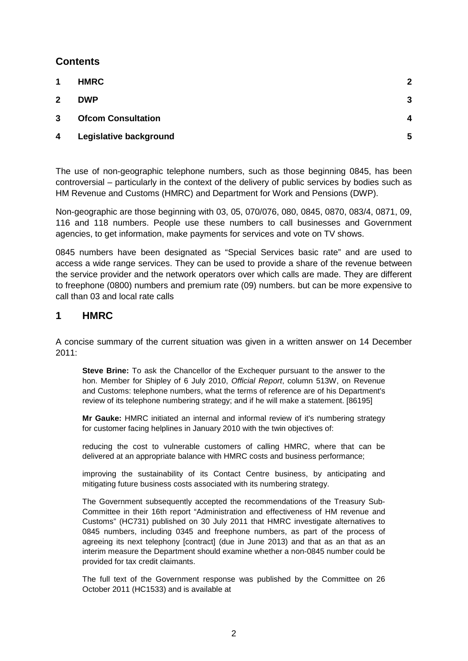### **Contents**

| <b>HMRC</b>               | $\overline{2}$   |
|---------------------------|------------------|
| <b>DWP</b>                | 3                |
| <b>Ofcom Consultation</b> | $\boldsymbol{4}$ |
| Legislative background    | 5                |
|                           |                  |

The use of non-geographic telephone numbers, such as those beginning 0845, has been controversial – particularly in the context of the delivery of public services by bodies such as HM Revenue and Customs (HMRC) and Department for Work and Pensions (DWP).

Non-geographic are those beginning with 03, 05, 070/076, 080, 0845, 0870, 083/4, 0871, 09, 116 and 118 numbers. People use these numbers to call businesses and Government agencies, to get information, make payments for services and vote on TV shows.

0845 numbers have been designated as "Special Services basic rate" and are used to access a wide range services. They can be used to provide a share of the revenue between the service provider and the network operators over which calls are made. They are different to freephone (0800) numbers and premium rate (09) numbers. but can be more expensive to call than 03 and local rate calls

### <span id="page-1-0"></span>**1 HMRC**

A concise summary of the current situation was given in a written answer on 14 December 2011:

**Steve Brine:** To ask the Chancellor of the Exchequer pursuant to the answer to the hon. Member for Shipley of 6 July 2010, *Official Report*, column 513W, on Revenue and Customs: telephone numbers, what the terms of reference are of his Department's review of its telephone numbering strategy; and if he will make a statement. [86195]

**Mr Gauke:** HMRC initiated an internal and informal review of it's numbering strategy for customer facing helplines in January 2010 with the twin objectives of:

reducing the cost to vulnerable customers of calling HMRC, where that can be delivered at an appropriate balance with HMRC costs and business performance;

improving the sustainability of its Contact Centre business, by anticipating and mitigating future business costs associated with its numbering strategy.

The Government subsequently accepted the recommendations of the Treasury Sub-Committee in their 16th report "Administration and effectiveness of HM revenue and Customs" (HC731) published on 30 July 2011 that HMRC investigate alternatives to 0845 numbers, including 0345 and freephone numbers, as part of the process of agreeing its next telephony [contract] (due in June 2013) and that as an that as an interim measure the Department should examine whether a non-0845 number could be provided for tax credit claimants.

The full text of the Government response was published by the Committee on 26 October 2011 (HC1533) and is available at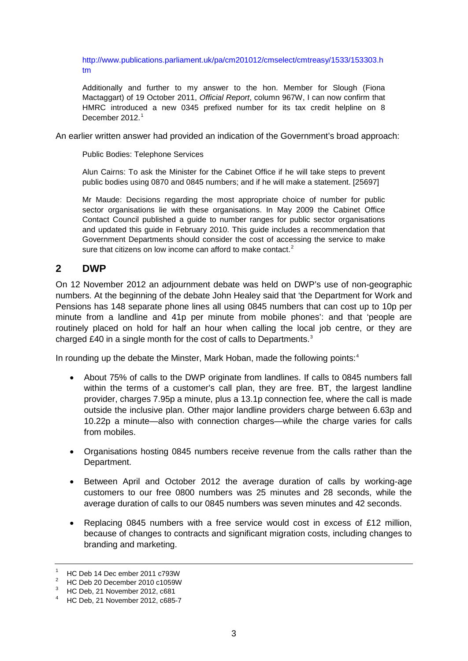[http://www.publications.parliament.uk/pa/cm201012/cmselect/cmtreasy/1533/153303.h](http://www.publications.parliament.uk/pa/cm201012/cmselect/cmtreasy/1533/153303.htm) [tm](http://www.publications.parliament.uk/pa/cm201012/cmselect/cmtreasy/1533/153303.htm)

Additionally and further to my answer to the hon. Member for Slough (Fiona Mactaggart) of 19 October 2011, *Official Report*, column 967W, I can now confirm that HMRC introduced a new 0345 prefixed number for its tax credit helpline on 8 December 20[1](#page-2-1)2.<sup>1</sup>

An earlier written answer had provided an indication of the Government's broad approach:

Public Bodies: Telephone Services

Alun Cairns: To ask the Minister for the Cabinet Office if he will take steps to prevent public bodies using 0870 and 0845 numbers; and if he will make a statement. [25697]

Mr Maude: Decisions regarding the most appropriate choice of number for public sector organisations lie with these organisations. In May 2009 the Cabinet Office Contact Council published a guide to number ranges for public sector organisations and updated this guide in February 2010. This guide includes a recommendation that Government Departments should consider the cost of accessing the service to make sure that citizens on low income can afford to make contact. $2$ 

### <span id="page-2-0"></span>**2 DWP**

On 12 November 2012 an adjournment debate was held on DWP's use of non-geographic numbers. At the beginning of the debate John Healey said that 'the Department for Work and Pensions has 148 separate phone lines all using 0845 numbers that can cost up to 10p per minute from a landline and 41p per minute from mobile phones': and that 'people are routinely placed on hold for half an hour when calling the local job centre, or they are charged £40 in a single month for the cost of calls to Departments.<sup>[3](#page-2-3)</sup>

In rounding up the debate the Minster, Mark Hoban, made the following points:<sup>[4](#page-2-4)</sup>

- About 75% of calls to the DWP originate from landlines. If calls to 0845 numbers fall within the terms of a customer's call plan, they are free. BT, the largest landline provider, charges 7.95p a minute, plus a 13.1p connection fee, where the call is made outside the inclusive plan. Other major landline providers charge between 6.63p and 10.22p a minute—also with connection charges—while the charge varies for calls from mobiles.
- Organisations hosting 0845 numbers receive revenue from the calls rather than the Department.
- Between April and October 2012 the average duration of calls by working-age customers to our free 0800 numbers was 25 minutes and 28 seconds, while the average duration of calls to our 0845 numbers was seven minutes and 42 seconds.
- Replacing 0845 numbers with a free service would cost in excess of £12 million, because of changes to contracts and significant migration costs, including changes to branding and marketing.

<span id="page-2-1"></span> $^{1}$  HC Deb 14 Dec ember 2011 c793W

<span id="page-2-2"></span> $^{2}$  HC Deb 20 December 2010 c1059W

<sup>3</sup> HC Deb, 21 November 2012, c681

<span id="page-2-4"></span><span id="page-2-3"></span><sup>4</sup> HC Deb, 21 November 2012, c685-7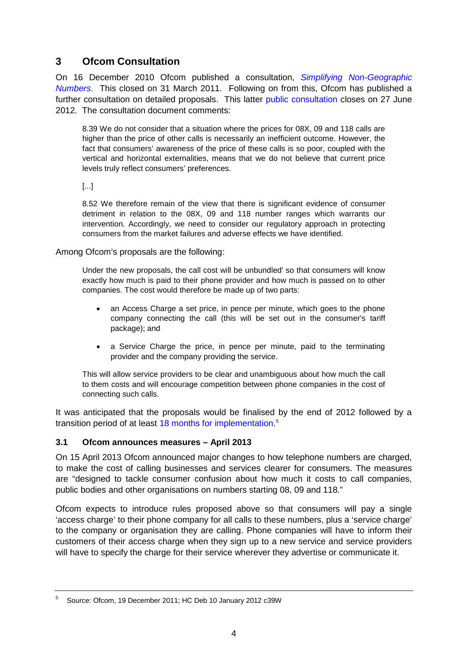## <span id="page-3-0"></span>**3 Ofcom Consultation**

On 16 December 2010 Ofcom published a consultation, *[Simplifying Non-Geographic](http://stakeholders.ofcom.org.uk/consultations/simplifying-non-geo-numbers/)  [Numbers](http://stakeholders.ofcom.org.uk/consultations/simplifying-non-geo-numbers/)*. This closed on 31 March 2011. Following on from this, Ofcom has published a further consultation on detailed proposals. This latter [public consultation](http://stakeholders.ofcom.org.uk/consultations/simplifying-non-geographic-no/) closes on 27 June 2012. The consultation document comments:

8.39 We do not consider that a situation where the prices for 08X, 09 and 118 calls are higher than the price of other calls is necessarily an inefficient outcome. However, the fact that consumers' awareness of the price of these calls is so poor, coupled with the vertical and horizontal externalities, means that we do not believe that current price levels truly reflect consumers' preferences.

[...]

8.52 We therefore remain of the view that there is significant evidence of consumer detriment in relation to the 08X, 09 and 118 number ranges which warrants our intervention. Accordingly, we need to consider our regulatory approach in protecting consumers from the market failures and adverse effects we have identified.

Among Ofcom's proposals are the following:

Under the new proposals, the call cost will be unbundled' so that consumers will know exactly how much is paid to their phone provider and how much is passed on to other companies. The cost would therefore be made up of two parts:

- an Access Charge a set price, in pence per minute, which goes to the phone company connecting the call (this will be set out in the consumer's tariff package); and
- a Service Charge the price, in pence per minute, paid to the terminating provider and the company providing the service.

This will allow service providers to be clear and unambiguous about how much the call to them costs and will encourage competition between phone companies in the cost of connecting such calls.

It was anticipated that the proposals would be finalised by the end of 2012 followed by a transition period of at least [18 months for implementation.](http://stakeholders.ofcom.org.uk/consultations/simplifying-non-geographic-no/summary)<sup>[5](#page-3-1)</sup>

#### **3.1 Ofcom announces measures – April 2013**

On 15 April 2013 Ofcom announced major changes to how telephone numbers are charged, to make the cost of calling businesses and services clearer for consumers. The measures are "designed to tackle consumer confusion about how much it costs to call companies, public bodies and other organisations on numbers starting 08, 09 and 118."

Ofcom expects to introduce rules proposed above so that consumers will pay a single 'access charge' to their phone company for all calls to these numbers, plus a 'service charge' to the company or organisation they are calling. Phone companies will have to inform their customers of their access charge when they sign up to a new service and service providers will have to specify the charge for their service wherever they advertise or communicate it.

<span id="page-3-1"></span><sup>5</sup> Source: Ofcom, 19 December 2011; HC Deb 10 January 2012 c39W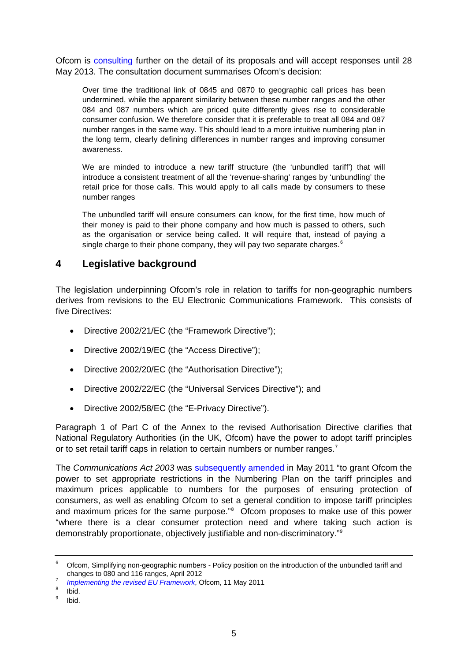Ofcom is [consulting](http://stakeholders.ofcom.org.uk/consultations/simplifying-non-geo-no/) further on the detail of its proposals and will accept responses until 28 May 2013. The consultation document summarises Ofcom's decision:

Over time the traditional link of 0845 and 0870 to geographic call prices has been undermined, while the apparent similarity between these number ranges and the other 084 and 087 numbers which are priced quite differently gives rise to considerable consumer confusion. We therefore consider that it is preferable to treat all 084 and 087 number ranges in the same way. This should lead to a more intuitive numbering plan in the long term, clearly defining differences in number ranges and improving consumer awareness.

We are minded to introduce a new tariff structure (the 'unbundled tariff') that will introduce a consistent treatment of all the 'revenue-sharing' ranges by 'unbundling' the retail price for those calls. This would apply to all calls made by consumers to these number ranges

The unbundled tariff will ensure consumers can know, for the first time, how much of their money is paid to their phone company and how much is passed to others, such as the organisation or service being called. It will require that, instead of paying a single charge to their phone company, they will pay two separate charges.<sup>[6](#page-4-1)</sup>

### <span id="page-4-0"></span>**4 Legislative background**

The legislation underpinning Ofcom's role in relation to tariffs for non-geographic numbers derives from revisions to the EU Electronic Communications Framework. This consists of five Directives:

- Directive 2002/21/EC (the "Framework Directive");
- Directive 2002/19/EC (the "Access Directive");
- Directive 2002/20/EC (the "Authorisation Directive");
- Directive 2002/22/EC (the "Universal Services Directive"); and
- Directive 2002/58/EC (the "E-Privacy Directive").

Paragraph 1 of Part C of the Annex to the revised Authorisation Directive clarifies that National Regulatory Authorities (in the UK, Ofcom) have the power to adopt tariff principles or to set retail tariff caps in relation to certain numbers or number ranges.<sup>[7](#page-4-2)</sup>

The *Communications Act 2003* was [subsequently amended](http://www.legislation.gov.uk/uksi/2011/1210/made) in May 2011 "to grant Ofcom the power to set appropriate restrictions in the Numbering Plan on the tariff principles and maximum prices applicable to numbers for the purposes of ensuring protection of consumers, as well as enabling Ofcom to set a general condition to impose tariff principles and maximum prices for the same purpose."<sup>[8](#page-4-3)</sup> Ofcom proposes to make use of this power "where there is a clear consumer protection need and where taking such action is demonstrably proportionate, objectively justifiable and non-discriminatory."[9](#page-4-4)

<span id="page-4-1"></span><sup>&</sup>lt;sup>6</sup> Ofcom, Simplifying non-geographic numbers - Policy position on the introduction of the unbundled tariff and changes to 080 and 116 ranges, April 2012

<sup>&</sup>lt;sup>7</sup> [Implementing the revised EU Framework](http://stakeholders.ofcom.org.uk/binaries/international/implementing-the-revised/short_statement.pdf), Ofcom, 11 May 2011

<span id="page-4-4"></span><span id="page-4-3"></span><span id="page-4-2"></span> $\frac{8}{9}$  Ibid.<br> $\frac{8}{1}$ Ibid.